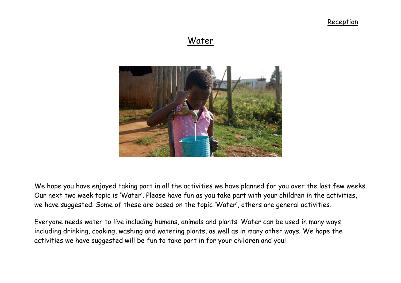# Water



We hope you have enjoyed taking part in all the activities we have planned for you over the last few weeks. Our next two week topic is 'Water'. Please have fun as you take part with your children in the activities, we have suggested. Some of these are based on the topic 'Water', others are general activities.

Everyone needs water to live including humans, animals and plants. Water can be used in many ways including drinking, cooking, washing and watering plants, as well as in many other ways. We hope the activities we have suggested will be fun to take part in for your children and you!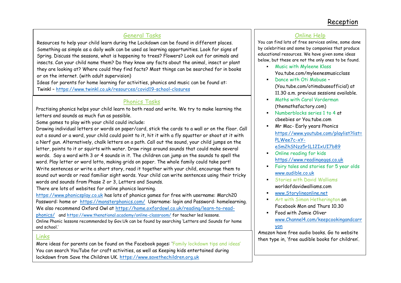# General Tasks

Resources to help your child learn during the Lockdown can be found in different places. Something as simple as a daily walk can be used as learning opportunities. Look for signs of Spring. Discuss the seasons, what is happening to trees? Flowers? Look out for animals and insects. Can your child name them? Do they know any facts about the animal, insect or plant they are looking at? Where could they find facts? Most things can be searched for in books or on the internet. (with adult supervision)

Ideas for parents for home learning for activities, phonics and music can be found at: Twinkl – <https://www.twinkl.co.uk/resources/covid19-school-closures>

## Phonics Tasks

Practising phonics helps your child learn to both read and write. We try to make learning the letters and sounds as much fun as possible.

Some games to play with your child could include:

the code is CVDTWINKLHELPS in Code is CVDTWINKLHELPS in Code

Drawing individual letters or words on paper/card, stick the cards to a wall or on the floor. Call out a sound or a word, your child could point to it, hit it with a fly squatter or shoot at it with a Nerf gun. Alternatively, chalk letters on a path. Call out the sound, your child jumps on the letter, points to it or squirts with water. Draw rings around sounds that could make several words. Say a word with 3 or 4 sounds in it. The children can jump on the sounds to spell the word. Play letter or word lotto, making grids on paper. The whole family could take part! Write sentences or write a short story, read it together with your child, encourage them to sound out words or read familiar sight words. Your child can write sentences using their tricky words and sounds from Phase 2 or 3, Letters and Sounds.

There are lots of websites for online phonics learning.

[https://www.phonicsplay.co.uk](https://www.phonicsplay.co.uk/) has lots of phonics games for free with username: March20 Password: home or <https://monsterphonics.com/>Username: login and Password: homelearning. We also recommend Oxford Owl at [https://home.oxfordowl.co.uk/reading/learn-to-read](https://home.oxfordowl.co.uk/reading/learn-to-read-phonics/)[phonics/](https://home.oxfordowl.co.uk/reading/learn-to-read-phonics/) and<https://www.thenational.academy/online-classroom/> for teacher led lessons. Online Phonic lessons recommended by Gov.Uk can be found by searching 'Letters and Sounds for home and school.'

### Links

More ideas for parents can be found on the Facebook pages: 'Family lockdown tips and ideas' You can search YouTube for craft activities, as well as Keeping kids entertained during lockdown from Save the Children UK. [https://www.savethechildren.org.uk](https://www.savethechildren.org.uk/)

## Online Help

You can find lots of free services online, some done by celebrities and some by companies that produce educational resources. We have given some ideas below, but these are not the only ones to be found.

- **Music with Myleene Klass** You.tube.com/myleenesmusicclass
- Dance with Oti Mabuse -(You.tube.com/otimabuseofficial) at 11.30 a.m. previous sessions available.
- **Maths with Carol Vorderman** (themathsfactory.com)
- **Numberblocks series 1 to 4 at** cbeebies or You.tube.com
- Mr Mac- Early years Phonics [https://www.youtube.com/playlist?list=](https://www.youtube.com/playlist?list=PLWee7c-xY-eSm2hSNzz5r1L12IxUI7b89) [PLWee7c-xY](https://www.youtube.com/playlist?list=PLWee7c-xY-eSm2hSNzz5r1L12IxUI7b89)
	- [eSm2hSNzz5r1L12IxUI7b89](https://www.youtube.com/playlist?list=PLWee7c-xY-eSm2hSNzz5r1L12IxUI7b89)
- **•** Online reading for kids [https://www.readingeggs.co.uk](https://www.readingeggs.co.uk/)
- Fairy tales and stories for 5 year olds [www.audible.co.uk](http://www.audible.co.uk/)
- **Stories with David Walliams** worldofdavidwalliams.com
- [www.Storylineonline.net](http://www.storylineonline.net/)
- **Art with Simon Hetherington on** Facebook Mon and Thurs 10.30
- Food with Jamie Oliver [www.Channel4.com/keepcookingandcarr](http://www.channel4.com/keepcookingandcarryon) [yon](http://www.channel4.com/keepcookingandcarryon)

Amazon have free audio books. Go to website then type in, 'free audible books for children'.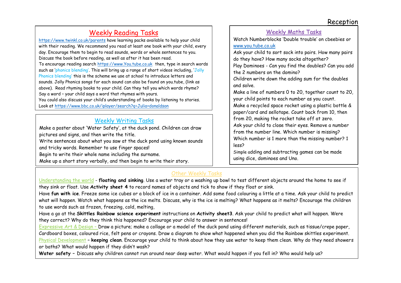# Weekly Reading Tasks

<https://www.twinkl.co.uk/parents> have learning packs available to help your child with their reading. We recommend you read at least one book with your child, every day. Encourage them to begin to read sounds, words or whole sentences to you. Discuss the book before reading, as well as after it has been read. To encourage reading search [https://www.You.tube.co.uk](https://www.you.tube.co.uk/) then, type in search words such as 'phonics blending'. This will bring up a range of short videos including, 'Jolly Phonics blending' this is the scheme we use at school to introduce letters and sounds. Jolly Phonics songs for each sound can also be found on you.tube, (link as above). Read rhyming books to your child. Can they tell you which words rhyme? Say a word – your child says a word that rhymes with yours. You could also discuss your child's understanding of books by listening to stories. Look at<https://www.bbc.co.uk/iplayer/search?q=Julia+donaldson>

# Weekly Writing Tasks

Make a poster about 'Water Safety', at the duck pond. Children can draw pictures and signs, and then write the title.

Write sentences about what you saw at the duck pond using known sounds and tricky words. Remember to use finger spaces!

Begin to write their whole name including the surname.

/

Make up a short story verbally, and then begin to write their story.

### Weekly Maths Tasks Watch Numberblocks 'Double trouble' on cbeebies or [www.you.tube.co.uk](http://www.you.tube.co.uk/)  Ask your child to sort sock into pairs. How many pairs do they have? How many socks altogether? Play Dominoes - Can you find the doubles? Can you add the 2 numbers on the domino? Children write down the adding sum for the doubles and solve. Make a line of numbers 0 to 20, together count to 20, your child points to each number as you count. Make a recycled space rocket using a plastic bottle & paper/card and sellotape. Count back from 10, then from 20, making the rocket take off at zero. Ask your child to close their eyes. Remove a number from the number line. Which number is missing? Which number is 1 more than the missing number? 1 less? Simple adding and subtracting games can be made using dice, dominoes and Uno.

# Other Weekly Tasks

Understanding the world - **floating and sinking**. Use a water tray or a washing up bowl to test different objects around the home to see if they sink or float. Use **Activity sheet 4** to record names of objects and tick to show if they float or sink.

Have **fun with ice**. Freeze some ice cubes or a block of ice in a container. Add some food colouring a little at a time. Ask your child to predict what will happen. Watch what happens as the ice melts. Discuss, why is the ice is melting? What happens as it melts? Encourage the children to use words such as frozen, freezing, cold, melting,

Have a go at the **Skittles Rainbow science experiment** instructions on **Activity sheet3**. Ask your child to predict what will happen. Were they correct? Why do they think this happened? Encourage your child to answer in sentences!

Expressive Art & Design – Draw a picture; make a collage or a model of the duck pond using different materials, such as tissue/crepe paper, Cardboard boxes, coloured rice, felt pens or crayons. Draw a diagram to show what happened when you did the Rainbow skittles experiment. Physical Development – **keeping clean**. Encourage your child to think about how they use water to keep them clean. Why do they need showers or baths? What would happen if they didn't wash?

**Water safety –** Discuss why children cannot run around near deep water. What would happen if you fell in? Who would help us?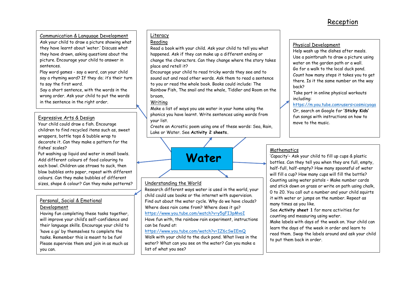#### Communication & Language Development

Ask your child to draw a picture showing what they have learnt about 'water.' Discuss what they have drawn, asking questions about the picture. Encourage your child to answer in sentences.

Play word games - say a word, can your child say a rhyming word? If they do; it's their turn to say the first word.

Say a short sentence, with the words in the wrong order. Ask your child to put the words in the sentence in the right order.

#### Expressive Arts & Design

Your child could draw a fish. Encourage children to find recycled items such as, sweet wrappers, bottle tops & bubble wrap to decorate it. Can they make a pattern for the fishes' scales?

Put washing up liquid and water in small bowls. Add different colours of food colouring to each bowl. Children use straws to suck, then blow bubbles onto paper, repeat with different colours. Can they make bubbles of different sizes, shape & colour? Can they make patterns?

#### Personal, Social & Emotional Development

Having fun completing these tasks together, will improve your child's self-confidence and their language skills. Encourage your child to 'have a go' by themselves to complete the tasks. Remember this is meant to be fun! Please supervise them and join in as much as you can.

### Literacy

#### Reading

Read a book with your child. Ask your child to tell you what happened. Ask if they can make up a different ending or change the characters. Can they change where the story takes place and retell it?

Encourage your child to read tricky words they see and to sound out and read other words. Ask them to read a sentence to you or read the whole book. Books could include: The Rainbow Fish, The snail and the whale, Tiddler and Room on the broom,

#### Writing

Make a list of ways you use water in your home using the phonics you have learnt. Write sentences using words from your list.

Create an Acrostic poem using one of these words: Sea, Rain, Lake or Water. See **Activity 2 sheets.**



#### Understanding the World

Research different ways water is used in the world, your child could use books or the internet with supervision. Find out about the water cycle. Why do we have clouds? Where does rain come from? Where does it go? <https://www.you.tube.com/watch?v=y5gFI3pMvoI>

Have fun with, the rainbow rain experiment, instructions can be found at:

#### <https://www.you.tube.com/watch?v=IZ6cSwIEmQ>

Walk with your child to the duck pond. What lives in the water? What can you see on the water? Can you make a list of what you see?

#### Physical Development

Help wash up the dishes after meals. Use a paintbrush to draw a picture using water on the garden path or a wall. Go for a walk to the local duck pond. Count how many steps it takes you to get there. Is it the same number on the way back?

Take part in online physical workouts including:

https://m.you.tube.com>users>cosmicyoga

Or, search on Google for **'Sticky Kids'**  fun songs with instructions on how to move to the music.

### **Mathematics**

'Capacity'– Ask your child to fill up cups & plastic bottles. Can they tell you when they are full, empty, half-full, half-empty? How many spoonsful of water will fill a cup? How many cups will fill the bottle? Counting using water pistols – Make number cards and stick down on grass or write on path using chalk, 0 to 20. You call out a number and your child squirts it with water or jumps on the number. Repeat as many times as you like.

See **Activity sheet 1** for more activities for counting and measuring using water.

Make labels with days of the week on. Your child can learn the days of the week in order and learn to read them. Swap the labels around and ask your child to put them back in order.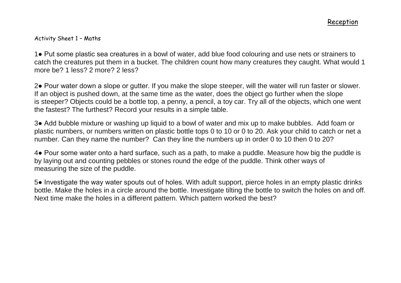### Activity Sheet 1 – Maths

1● Put some plastic sea creatures in a bowl of water, add blue food colouring and use nets or strainers to catch the creatures put them in a bucket. The children count how many creatures they caught. What would 1 more be? 1 less? 2 more? 2 less?

2● Pour water down a slope or gutter. If you make the slope steeper, will the water will run faster or slower. If an object is pushed down, at the same time as the water, does the object go further when the slope is steeper? Objects could be a bottle top, a penny, a pencil, a toy car. Try all of the objects, which one went the fastest? The furthest? Record your results in a simple table.

3● Add bubble mixture or washing up liquid to a bowl of water and mix up to make bubbles. Add foam or plastic numbers, or numbers written on plastic bottle tops 0 to 10 or 0 to 20. Ask your child to catch or net a number. Can they name the number? Can they line the numbers up in order 0 to 10 then 0 to 20?

4● Pour some water onto a hard surface, such as a path, to make a puddle. Measure how big the puddle is by laying out and counting pebbles or stones round the edge of the puddle. Think other ways of measuring the size of the puddle.

5● Investigate the way water spouts out of holes. With adult support, pierce holes in an empty plastic drinks bottle. Make the holes in a circle around the bottle. Investigate tilting the bottle to switch the holes on and off. Next time make the holes in a different pattern. Which pattern worked the best?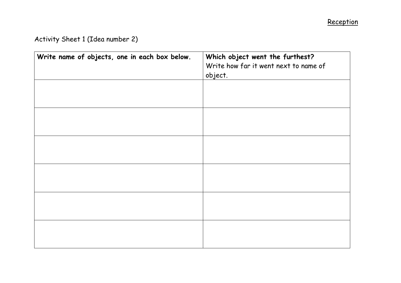# Activity Sheet 1 (Idea number 2)

| Write name of objects, one in each box below. | Which object went the furthest?<br>Write how far it went next to name of<br>object. |
|-----------------------------------------------|-------------------------------------------------------------------------------------|
|                                               |                                                                                     |
|                                               |                                                                                     |
|                                               |                                                                                     |
|                                               |                                                                                     |
|                                               |                                                                                     |
|                                               |                                                                                     |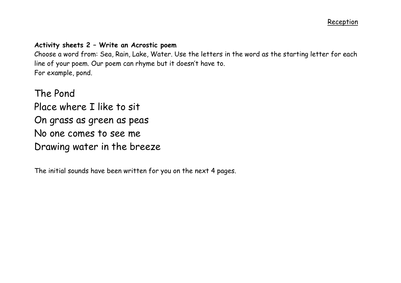# **Activity sheets 2 – Write an Acrostic poem**

Choose a word from: Sea, Rain, Lake, Water. Use the letters in the word as the starting letter for each line of your poem. Our poem can rhyme but it doesn't have to. For example, pond.

The Pond Place where I like to sit On grass as green as peas No one comes to see me Drawing water in the breeze

The initial sounds have been written for you on the next 4 pages.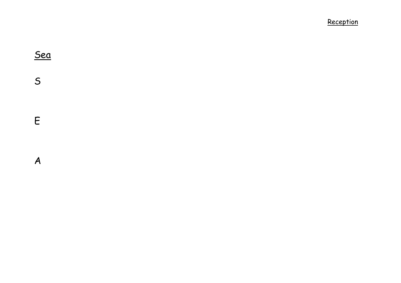Sea  $\mathsf{S}$ S<br>E<br>A  $\pmb{\mathsf{E}}$  $\boldsymbol{A}$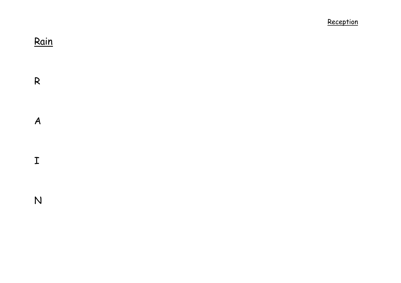Rain

 $\mathsf{R}$ 

 $\boldsymbol{A}$ 

 $\mathbf I$ 

R<br>A<br>I<br>N  $\overline{N}$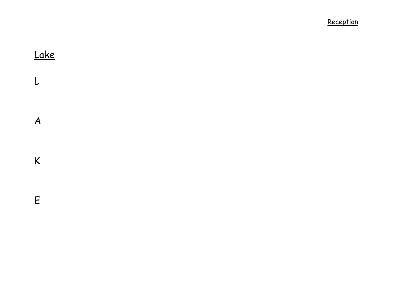Lake  $\mathsf{L}%$ L<br>A<br>K<br>E  $\boldsymbol{A}$  $\mathsf{K}$  $\mathsf E$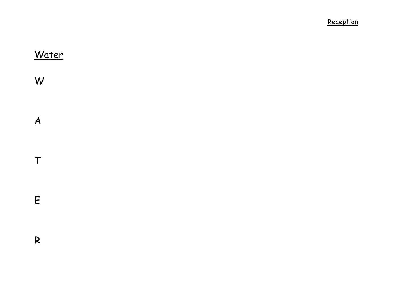Water W W<br>A<br>T<br>E<br>R  $\boldsymbol{A}$  $\mathsf T$  $\mathsf E$  $\mathsf{R}$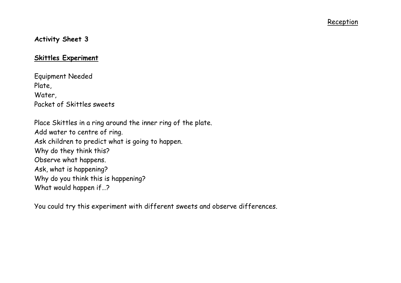# **Activity Sheet 3**

## **Skittles Experiment**

Equipment Needed Plate, Water, Packet of Skittles sweets

Place Skittles in a ring around the inner ring of the plate. Add water to centre of ring. Ask children to predict what is going to happen. Why do they think this? Observe what happens. Ask, what is happening? Why do you think this is happening? What would happen if…?

You could try this experiment with different sweets and observe differences.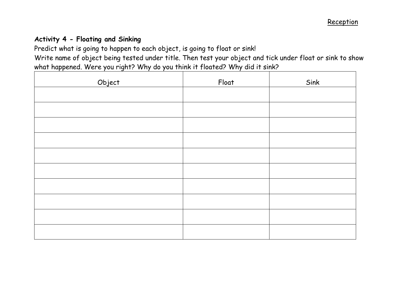# **Activity 4 - Floating and Sinking**

Predict what is going to happen to each object, is going to float or sink!

Write name of object being tested under title. Then test your object and tick under float or sink to show what happened. Were you right? Why do you think it floated? Why did it sink?

| Object | Float | Sink |
|--------|-------|------|
|        |       |      |
|        |       |      |
|        |       |      |
|        |       |      |
|        |       |      |
|        |       |      |
|        |       |      |
|        |       |      |
|        |       |      |
|        |       |      |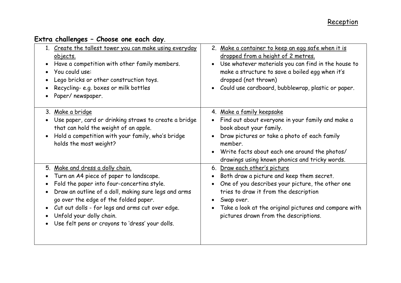| 1. Create the tallest tower you can make using everyday<br>objects.<br>Have a competition with other family members.<br>You could use:<br>Lego bricks or other construction toys.<br>Recycling-e.g. boxes or milk bottles<br>Paper/newspaper.                                                                                                                                           | 2. Make a container to keep an egg safe when it is<br>dropped from a height of 2 metres.<br>Use whatever materials you can find in the house to<br>make a structure to save a boiled egg when it's<br>dropped (not thrown)<br>Could use cardboard, bubblewrap, plastic or paper.       |
|-----------------------------------------------------------------------------------------------------------------------------------------------------------------------------------------------------------------------------------------------------------------------------------------------------------------------------------------------------------------------------------------|----------------------------------------------------------------------------------------------------------------------------------------------------------------------------------------------------------------------------------------------------------------------------------------|
| 3. Make a bridge<br>Use paper, card or drinking straws to create a bridge<br>that can hold the weight of an apple.<br>Hold a competition with your family, who's bridge<br>holds the most weight?                                                                                                                                                                                       | 4. Make a family keepsake<br>Find out about everyone in your family and make a<br>book about your family.<br>Draw pictures or take a photo of each family<br>member.<br>Write facts about each one around the photos/<br>drawings using known phonics and tricky words.                |
| 5. Make and dress a dolly chain.<br>Turn an A4 piece of paper to landscape.<br>Fold the paper into four-concertina style.<br>$\bullet$<br>Draw an outline of a doll, making sure legs and arms<br>$\bullet$<br>go over the edge of the folded paper.<br>Cut out dolls - for legs and arms cut over edge.<br>Unfold your dolly chain.<br>Use felt pens or crayons to 'dress' your dolls. | 6. Draw each other's picture<br>Both draw a picture and keep them secret.<br>One of you describes your picture, the other one<br>tries to draw it from the description<br>Swap over.<br>Take a look at the original pictures and compare with<br>pictures drawn from the descriptions. |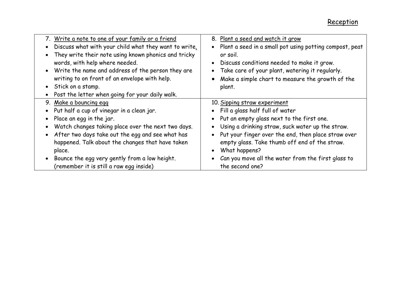| 7. Write a note to one of your family or a friend<br>Discuss what with your child what they want to write.<br>They write their note using known phonics and tricky<br>words, with help where needed.<br>• Write the name and address of the person they are<br>writing to on front of an envelope with help.<br>• Stick on a stamp.<br>• Post the letter when going for your daily walk. | 8. Plant a seed and watch it grow<br>Plant a seed in a small pot using potting compost, peat<br>$\bullet$<br>or soil.<br>Discuss conditions needed to make it grow.<br>$\bullet$<br>Take care of your plant, watering it regularly.<br>$\bullet$<br>Make a simple chart to measure the growth of the<br>$\bullet$<br>plant. |
|------------------------------------------------------------------------------------------------------------------------------------------------------------------------------------------------------------------------------------------------------------------------------------------------------------------------------------------------------------------------------------------|-----------------------------------------------------------------------------------------------------------------------------------------------------------------------------------------------------------------------------------------------------------------------------------------------------------------------------|
| Make a bouncing egg<br>9.                                                                                                                                                                                                                                                                                                                                                                | 10. Sipping straw experiment                                                                                                                                                                                                                                                                                                |
| • Put half a cup of vinegar in a clean jar.                                                                                                                                                                                                                                                                                                                                              | Fill a glass half full of water<br>$\bullet$                                                                                                                                                                                                                                                                                |
| Place an egg in the jar.                                                                                                                                                                                                                                                                                                                                                                 | Put an empty glass next to the first one.<br>$\bullet$                                                                                                                                                                                                                                                                      |
| Watch changes taking place over the next two days.                                                                                                                                                                                                                                                                                                                                       | Using a drinking straw, suck water up the straw.<br>$\bullet$                                                                                                                                                                                                                                                               |
| After two days take out the egg and see what has                                                                                                                                                                                                                                                                                                                                         | Put your finger over the end, then place straw over<br>$\bullet$                                                                                                                                                                                                                                                            |
| happened. Talk about the changes that have taken                                                                                                                                                                                                                                                                                                                                         | empty glass. Take thumb off end of the straw.                                                                                                                                                                                                                                                                               |
| place.                                                                                                                                                                                                                                                                                                                                                                                   | What happens?<br>$\bullet$                                                                                                                                                                                                                                                                                                  |
| • Bounce the egg very gently from a low height.                                                                                                                                                                                                                                                                                                                                          | Can you move all the water from the first glass to<br>$\bullet$                                                                                                                                                                                                                                                             |
| (remember it is still a raw egg inside)                                                                                                                                                                                                                                                                                                                                                  | the second one?                                                                                                                                                                                                                                                                                                             |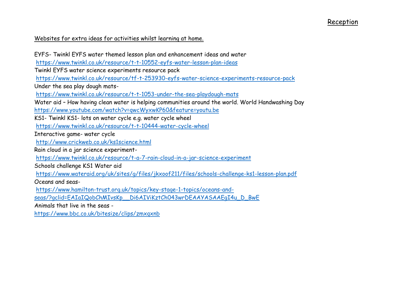### Websites for extra ideas for activities whilst learning at home.

EYFS- Twinkl EYFS water themed lesson plan and enhancement ideas and water <https://www.twinkl.co.uk/resource/t-t-10552-eyfs-water-lesson-plan-ideas> Twinkl EYFS water science experiments resource pack <https://www.twinkl.co.uk/resource/tf-t-253930-eyfs-water-science-experiments-resource-pack> Under the sea play dough mats<https://www.twinkl.co.uk/resource/t-t-1053-under-the-sea-playdough-mats> Water aid – How having clean water is helping communities around the world. World Handwashing Day <https://www.youtube.com/watch?v=qwcWyxwKP60&feature=youtu.be> KS1- Twinkl KS1- lots on water cycle e.g. water cycle wheel <https://www.twinkl.co.uk/resource/t-t-10444-water-cycle-wheel> Interactive game- water cycle <http://www.crickweb.co.uk/ks1science.html> Rain cloud in a jar science experiment<https://www.twinkl.co.uk/resource/t-a-7-rain-cloud-in-a-jar-science-experiment> Schools challenge KS1 Water aid <https://www.wateraid.org/uk/sites/g/files/jkxoof211/files/schools-challenge-ks1-lesson-plan.pdf> Oceans and seas[https://www.hamilton-trust.org.uk/topics/key-stage-1-topics/oceans-and](https://www.hamilton-trust.org.uk/topics/key-stage-1-topics/oceans-and-seas/?gclid=EAIaIQobChMIvsKp__Di6AIViKztCh043wrDEAAYASAAEgI4u_D_BwE)[seas/?gclid=EAIaIQobChMIvsKp\\_\\_Di6AIViKztCh043wrDEAAYASAAEgI4u\\_D\\_BwE](https://www.hamilton-trust.org.uk/topics/key-stage-1-topics/oceans-and-seas/?gclid=EAIaIQobChMIvsKp__Di6AIViKztCh043wrDEAAYASAAEgI4u_D_BwE) Animals that live in the seas <https://www.bbc.co.uk/bitesize/clips/zmxqxnb>